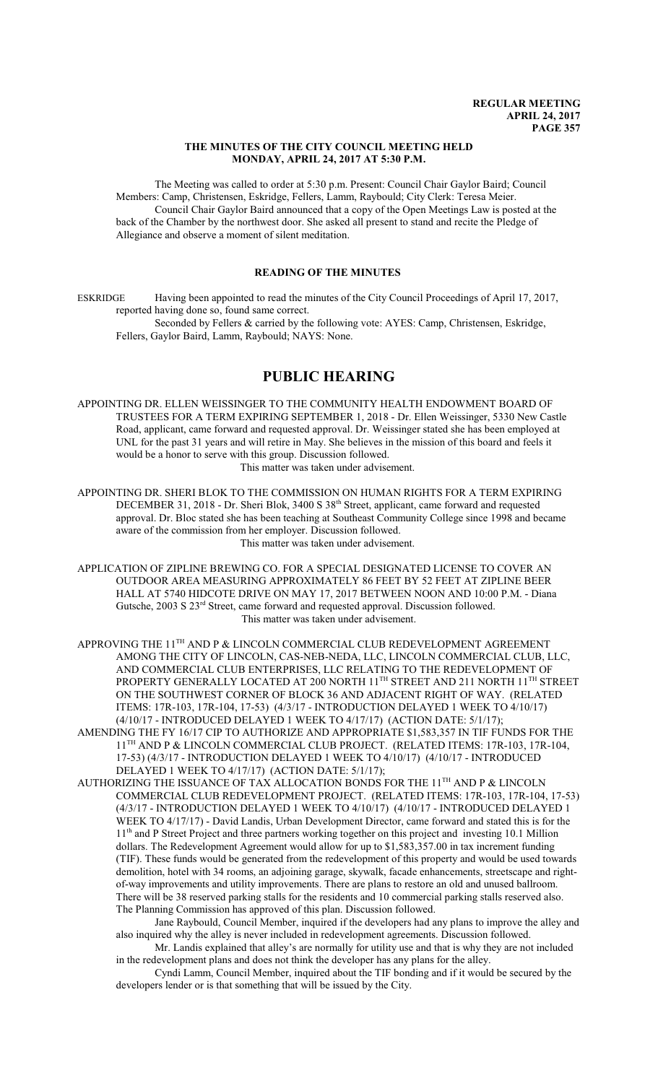### **THE MINUTES OF THE CITY COUNCIL MEETING HELD MONDAY, APRIL 24, 2017 AT 5:30 P.M.**

The Meeting was called to order at 5:30 p.m. Present: Council Chair Gaylor Baird; Council Members: Camp, Christensen, Eskridge, Fellers, Lamm, Raybould; City Clerk: Teresa Meier. Council Chair Gaylor Baird announced that a copy of the Open Meetings Law is posted at the back of the Chamber by the northwest door. She asked all present to stand and recite the Pledge of Allegiance and observe a moment of silent meditation.

## **READING OF THE MINUTES**

ESKRIDGE Having been appointed to read the minutes of the City Council Proceedings of April 17, 2017, reported having done so, found same correct.

Seconded by Fellers & carried by the following vote: AYES: Camp, Christensen, Eskridge, Fellers, Gaylor Baird, Lamm, Raybould; NAYS: None.

# **PUBLIC HEARING**

APPOINTING DR. ELLEN WEISSINGER TO THE COMMUNITY HEALTH ENDOWMENT BOARD OF TRUSTEES FOR A TERM EXPIRING SEPTEMBER 1, 2018 - Dr. Ellen Weissinger, 5330 New Castle Road, applicant, came forward and requested approval. Dr. Weissinger stated she has been employed at UNL for the past 31 years and will retire in May. She believes in the mission of this board and feels it would be a honor to serve with this group. Discussion followed.

This matter was taken under advisement.

APPOINTING DR. SHERI BLOK TO THE COMMISSION ON HUMAN RIGHTS FOR A TERM EXPIRING DECEMBER 31, 2018 - Dr. Sheri Blok, 3400 S 38<sup>th</sup> Street, applicant, came forward and requested approval. Dr. Bloc stated she has been teaching at Southeast Community College since 1998 and became aware of the commission from her employer. Discussion followed. This matter was taken under advisement.

APPLICATION OF ZIPLINE BREWING CO. FOR A SPECIAL DESIGNATED LICENSE TO COVER AN OUTDOOR AREA MEASURING APPROXIMATELY 86 FEET BY 52 FEET AT ZIPLINE BEER HALL AT 5740 HIDCOTE DRIVE ON MAY 17, 2017 BETWEEN NOON AND 10:00 P.M. - Diana Gutsche, 2003 S 23<sup>rd</sup> Street, came forward and requested approval. Discussion followed. This matter was taken under advisement.

APPROVING THE  $11^{\text{TH}}$  AND P & LINCOLN COMMERCIAL CLUB REDEVELOPMENT AGREEMENT AMONG THE CITY OF LINCOLN, CAS-NEB-NEDA, LLC, LINCOLN COMMERCIAL CLUB, LLC, AND COMMERCIAL CLUB ENTERPRISES, LLC RELATING TO THE REDEVELOPMENT OF PROPERTY GENERALLY LOCATED AT 200 NORTH 11<sup>th</sup> STREET AND 211 NORTH 11<sup>th</sup> STREET ON THE SOUTHWEST CORNER OF BLOCK 36 AND ADJACENT RIGHT OF WAY. (RELATED ITEMS: 17R-103, 17R-104, 17-53) (4/3/17 - INTRODUCTION DELAYED 1 WEEK TO 4/10/17) (4/10/17 - INTRODUCED DELAYED 1 WEEK TO 4/17/17) (ACTION DATE: 5/1/17);

AMENDING THE FY 16/17 CIP TO AUTHORIZE AND APPROPRIATE \$1,583,357 IN TIF FUNDS FOR THE 11<sup>TH</sup> AND P & LINCOLN COMMERCIAL CLUB PROJECT. (RELATED ITEMS: 17R-103, 17R-104, 17-53) (4/3/17 - INTRODUCTION DELAYED 1 WEEK TO 4/10/17) (4/10/17 - INTRODUCED DELAYED 1 WEEK TO 4/17/17) (ACTION DATE: 5/1/17);

AUTHORIZING THE ISSUANCE OF TAX ALLOCATION BONDS FOR THE 11 $^{\text{\tiny{TH}}}$  AND P & LINCOLN COMMERCIAL CLUB REDEVELOPMENT PROJECT. (RELATED ITEMS: 17R-103, 17R-104, 17-53) (4/3/17 - INTRODUCTION DELAYED 1 WEEK TO 4/10/17) (4/10/17 - INTRODUCED DELAYED 1 WEEK TO 4/17/17) - David Landis, Urban Development Director, came forward and stated this is for the 11<sup>th</sup> and P Street Project and three partners working together on this project and investing 10.1 Million dollars. The Redevelopment Agreement would allow for up to \$1,583,357.00 in tax increment funding (TIF). These funds would be generated from the redevelopment of this property and would be used towards demolition, hotel with 34 rooms, an adjoining garage, skywalk, facade enhancements, streetscape and rightof-way improvements and utility improvements. There are plans to restore an old and unused ballroom. There will be 38 reserved parking stalls for the residents and 10 commercial parking stalls reserved also. The Planning Commission has approved of this plan. Discussion followed.

Jane Raybould, Council Member, inquired if the developers had any plans to improve the alley and also inquired why the alley is never included in redevelopment agreements. Discussion followed.

Mr. Landis explained that alley's are normally for utility use and that is why they are not included in the redevelopment plans and does not think the developer has any plans for the alley.

Cyndi Lamm, Council Member, inquired about the TIF bonding and if it would be secured by the developers lender or is that something that will be issued by the City.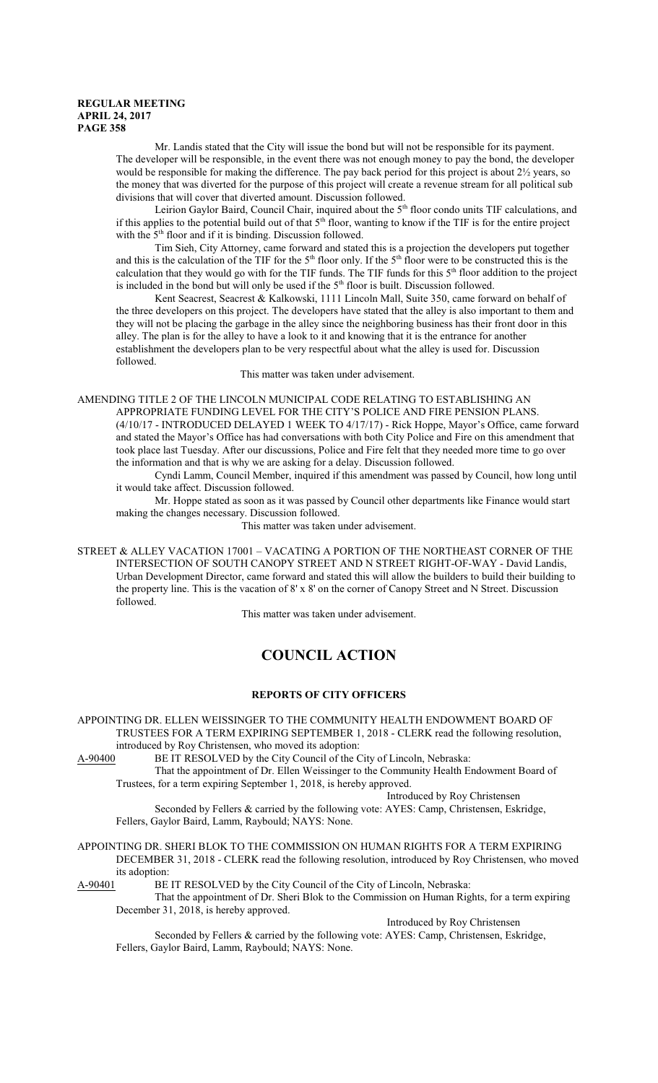Mr. Landis stated that the City will issue the bond but will not be responsible for its payment. The developer will be responsible, in the event there was not enough money to pay the bond, the developer would be responsible for making the difference. The pay back period for this project is about  $2\frac{1}{2}$  years, so the money that was diverted for the purpose of this project will create a revenue stream for all political sub divisions that will cover that diverted amount. Discussion followed.

Leirion Gaylor Baird, Council Chair, inquired about the 5<sup>th</sup> floor condo units TIF calculations, and if this applies to the potential build out of that 5<sup>th</sup> floor, wanting to know if the TIF is for the entire project with the 5<sup>th</sup> floor and if it is binding. Discussion followed.

Tim Sieh, City Attorney, came forward and stated this is a projection the developers put together and this is the calculation of the TIF for the  $5<sup>th</sup>$  floor only. If the  $5<sup>th</sup>$  floor were to be constructed this is the calculation that they would go with for the TIF funds. The TIF funds for this  $5<sup>th</sup>$  floor addition to the project is included in the bond but will only be used if the  $5<sup>th</sup>$  floor is built. Discussion followed.

Kent Seacrest, Seacrest & Kalkowski, 1111 Lincoln Mall, Suite 350, came forward on behalf of the three developers on this project. The developers have stated that the alley is also important to them and they will not be placing the garbage in the alley since the neighboring business has their front door in this alley. The plan is for the alley to have a look to it and knowing that it is the entrance for another establishment the developers plan to be very respectful about what the alley is used for. Discussion followed.

This matter was taken under advisement.

AMENDING TITLE 2 OF THE LINCOLN MUNICIPAL CODE RELATING TO ESTABLISHING AN APPROPRIATE FUNDING LEVEL FOR THE CITY'S POLICE AND FIRE PENSION PLANS. (4/10/17 - INTRODUCED DELAYED 1 WEEK TO 4/17/17) - Rick Hoppe, Mayor's Office, came forward and stated the Mayor's Office has had conversations with both City Police and Fire on this amendment that took place last Tuesday. After our discussions, Police and Fire felt that they needed more time to go over the information and that is why we are asking for a delay. Discussion followed.

Cyndi Lamm, Council Member, inquired if this amendment was passed by Council, how long until it would take affect. Discussion followed.

Mr. Hoppe stated as soon as it was passed by Council other departments like Finance would start making the changes necessary. Discussion followed.

This matter was taken under advisement.

STREET & ALLEY VACATION 17001 – VACATING A PORTION OF THE NORTHEAST CORNER OF THE INTERSECTION OF SOUTH CANOPY STREET AND N STREET RIGHT-OF-WAY - David Landis, Urban Development Director, came forward and stated this will allow the builders to build their building to the property line. This is the vacation of 8' x 8' on the corner of Canopy Street and N Street. Discussion followed.

This matter was taken under advisement.

# **COUNCIL ACTION**

# **REPORTS OF CITY OFFICERS**

APPOINTING DR. ELLEN WEISSINGER TO THE COMMUNITY HEALTH ENDOWMENT BOARD OF TRUSTEES FOR A TERM EXPIRING SEPTEMBER 1, 2018 - CLERK read the following resolution, introduced by Roy Christensen, who moved its adoption:

A-90400 BE IT RESOLVED by the City Council of the City of Lincoln, Nebraska:

That the appointment of Dr. Ellen Weissinger to the Community Health Endowment Board of Trustees, for a term expiring September 1, 2018, is hereby approved.

Introduced by Roy Christensen

Seconded by Fellers & carried by the following vote: AYES: Camp, Christensen, Eskridge, Fellers, Gaylor Baird, Lamm, Raybould; NAYS: None.

# APPOINTING DR. SHERI BLOK TO THE COMMISSION ON HUMAN RIGHTS FOR A TERM EXPIRING DECEMBER 31, 2018 - CLERK read the following resolution, introduced by Roy Christensen, who moved its adoption:<br>A-90401 BE

BE IT RESOLVED by the City Council of the City of Lincoln, Nebraska:

That the appointment of Dr. Sheri Blok to the Commission on Human Rights, for a term expiring December 31, 2018, is hereby approved.

Introduced by Roy Christensen

Seconded by Fellers & carried by the following vote: AYES: Camp, Christensen, Eskridge, Fellers, Gaylor Baird, Lamm, Raybould; NAYS: None.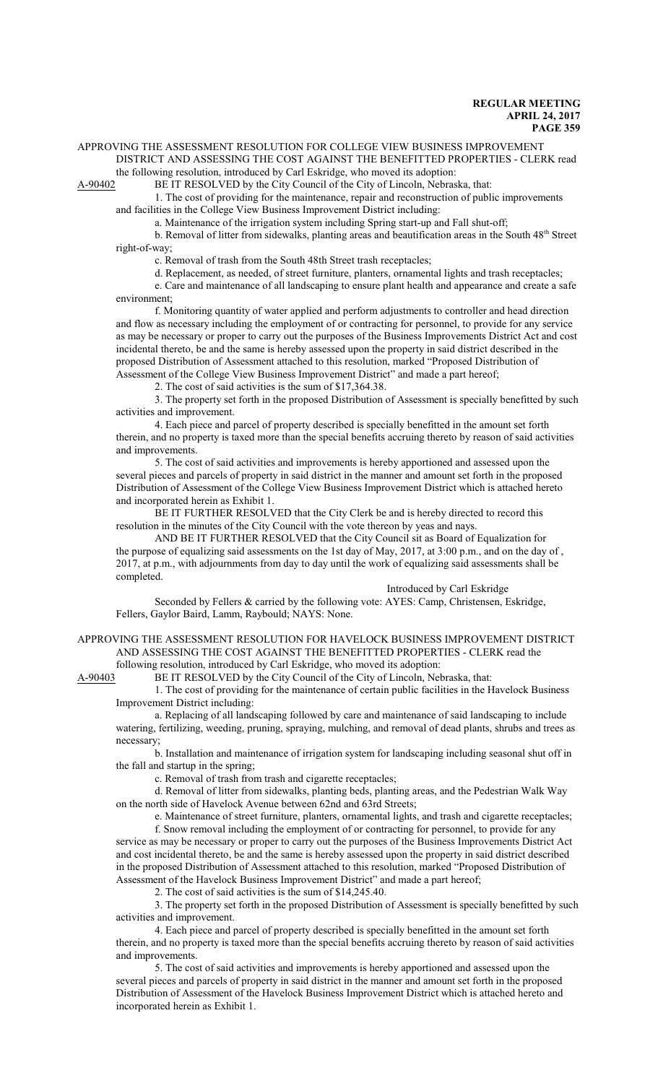#### APPROVING THE ASSESSMENT RESOLUTION FOR COLLEGE VIEW BUSINESS IMPROVEMENT

DISTRICT AND ASSESSING THE COST AGAINST THE BENEFITTED PROPERTIES - CLERK read the following resolution, introduced by Carl Eskridge, who moved its adoption:<br>A-90402 BE IT RESOLVED by the City Council of the City of Lincoln, Nebras

BE IT RESOLVED by the City Council of the City of Lincoln, Nebraska, that: 1. The cost of providing for the maintenance, repair and reconstruction of public improvements

and facilities in the College View Business Improvement District including:

a. Maintenance of the irrigation system including Spring start-up and Fall shut-off;

b. Removal of litter from sidewalks, planting areas and beautification areas in the South 48<sup>th</sup> Street right-of-way;

c. Removal of trash from the South 48th Street trash receptacles;

d. Replacement, as needed, of street furniture, planters, ornamental lights and trash receptacles;

e. Care and maintenance of all landscaping to ensure plant health and appearance and create a safe environment;

f. Monitoring quantity of water applied and perform adjustments to controller and head direction and flow as necessary including the employment of or contracting for personnel, to provide for any service as may be necessary or proper to carry out the purposes of the Business Improvements District Act and cost incidental thereto, be and the same is hereby assessed upon the property in said district described in the proposed Distribution of Assessment attached to this resolution, marked "Proposed Distribution of Assessment of the College View Business Improvement District" and made a part hereof;

2. The cost of said activities is the sum of \$17,364.38.

3. The property set forth in the proposed Distribution of Assessment is specially benefitted by such activities and improvement.

4. Each piece and parcel of property described is specially benefitted in the amount set forth therein, and no property is taxed more than the special benefits accruing thereto by reason of said activities and improvements.

5. The cost of said activities and improvements is hereby apportioned and assessed upon the several pieces and parcels of property in said district in the manner and amount set forth in the proposed Distribution of Assessment of the College View Business Improvement District which is attached hereto and incorporated herein as Exhibit 1.

BE IT FURTHER RESOLVED that the City Clerk be and is hereby directed to record this resolution in the minutes of the City Council with the vote thereon by yeas and nays.

AND BE IT FURTHER RESOLVED that the City Council sit as Board of Equalization for the purpose of equalizing said assessments on the 1st day of May, 2017, at 3:00 p.m., and on the day of , 2017, at p.m., with adjournments from day to day until the work of equalizing said assessments shall be completed.

Introduced by Carl Eskridge

Seconded by Fellers & carried by the following vote: AYES: Camp, Christensen, Eskridge, Fellers, Gaylor Baird, Lamm, Raybould; NAYS: None.

APPROVING THE ASSESSMENT RESOLUTION FOR HAVELOCK BUSINESS IMPROVEMENT DISTRICT AND ASSESSING THE COST AGAINST THE BENEFITTED PROPERTIES - CLERK read the following resolution, introduced by Carl Eskridge, who moved its adoption:

A-90403 BE IT RESOLVED by the City Council of the City of Lincoln, Nebraska, that:

1. The cost of providing for the maintenance of certain public facilities in the Havelock Business Improvement District including:

a. Replacing of all landscaping followed by care and maintenance of said landscaping to include watering, fertilizing, weeding, pruning, spraying, mulching, and removal of dead plants, shrubs and trees as necessary;

b. Installation and maintenance of irrigation system for landscaping including seasonal shut off in the fall and startup in the spring;

c. Removal of trash from trash and cigarette receptacles;

d. Removal of litter from sidewalks, planting beds, planting areas, and the Pedestrian Walk Way on the north side of Havelock Avenue between 62nd and 63rd Streets;

e. Maintenance of street furniture, planters, ornamental lights, and trash and cigarette receptacles;

f. Snow removal including the employment of or contracting for personnel, to provide for any service as may be necessary or proper to carry out the purposes of the Business Improvements District Act and cost incidental thereto, be and the same is hereby assessed upon the property in said district described in the proposed Distribution of Assessment attached to this resolution, marked "Proposed Distribution of Assessment of the Havelock Business Improvement District" and made a part hereof;

2. The cost of said activities is the sum of \$14,245.40.

3. The property set forth in the proposed Distribution of Assessment is specially benefitted by such activities and improvement.

4. Each piece and parcel of property described is specially benefitted in the amount set forth therein, and no property is taxed more than the special benefits accruing thereto by reason of said activities and improvements.

5. The cost of said activities and improvements is hereby apportioned and assessed upon the several pieces and parcels of property in said district in the manner and amount set forth in the proposed Distribution of Assessment of the Havelock Business Improvement District which is attached hereto and incorporated herein as Exhibit 1.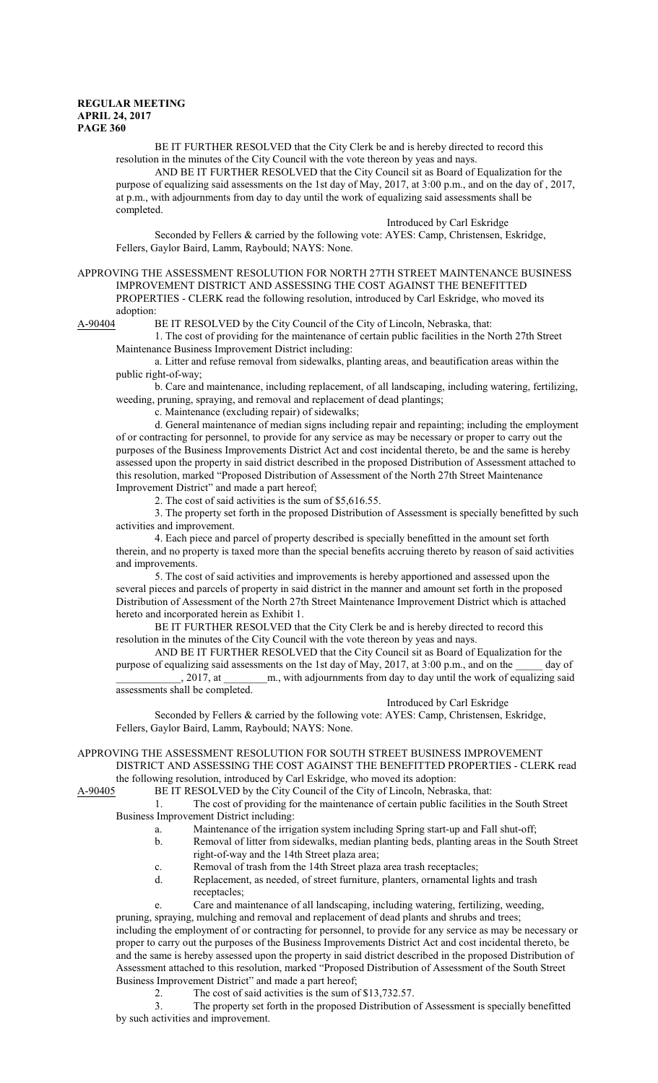BE IT FURTHER RESOLVED that the City Clerk be and is hereby directed to record this resolution in the minutes of the City Council with the vote thereon by yeas and nays.

AND BE IT FURTHER RESOLVED that the City Council sit as Board of Equalization for the purpose of equalizing said assessments on the 1st day of May, 2017, at 3:00 p.m., and on the day of , 2017, at p.m., with adjournments from day to day until the work of equalizing said assessments shall be completed.

#### Introduced by Carl Eskridge

Seconded by Fellers & carried by the following vote: AYES: Camp, Christensen, Eskridge, Fellers, Gaylor Baird, Lamm, Raybould; NAYS: None.

APPROVING THE ASSESSMENT RESOLUTION FOR NORTH 27TH STREET MAINTENANCE BUSINESS IMPROVEMENT DISTRICT AND ASSESSING THE COST AGAINST THE BENEFITTED PROPERTIES - CLERK read the following resolution, introduced by Carl Eskridge, who moved its adoption:

A-90404 BE IT RESOLVED by the City Council of the City of Lincoln, Nebraska, that:

1. The cost of providing for the maintenance of certain public facilities in the North 27th Street Maintenance Business Improvement District including:

a. Litter and refuse removal from sidewalks, planting areas, and beautification areas within the public right-of-way;

b. Care and maintenance, including replacement, of all landscaping, including watering, fertilizing, weeding, pruning, spraying, and removal and replacement of dead plantings;

c. Maintenance (excluding repair) of sidewalks;

d. General maintenance of median signs including repair and repainting; including the employment of or contracting for personnel, to provide for any service as may be necessary or proper to carry out the purposes of the Business Improvements District Act and cost incidental thereto, be and the same is hereby assessed upon the property in said district described in the proposed Distribution of Assessment attached to this resolution, marked "Proposed Distribution of Assessment of the North 27th Street Maintenance Improvement District" and made a part hereof;

2. The cost of said activities is the sum of \$5,616.55.

3. The property set forth in the proposed Distribution of Assessment is specially benefitted by such activities and improvement.

4. Each piece and parcel of property described is specially benefitted in the amount set forth therein, and no property is taxed more than the special benefits accruing thereto by reason of said activities and improvements.

5. The cost of said activities and improvements is hereby apportioned and assessed upon the several pieces and parcels of property in said district in the manner and amount set forth in the proposed Distribution of Assessment of the North 27th Street Maintenance Improvement District which is attached hereto and incorporated herein as Exhibit 1.

BE IT FURTHER RESOLVED that the City Clerk be and is hereby directed to record this resolution in the minutes of the City Council with the vote thereon by yeas and nays.

AND BE IT FURTHER RESOLVED that the City Council sit as Board of Equalization for the purpose of equalizing said assessments on the 1st day of May, 2017, at 3:00 p.m., and on the day of , 2017, at  $\qquad$  m., with adjournments from day to day until the work of equalizing said assessments shall be completed.

#### Introduced by Carl Eskridge

Seconded by Fellers & carried by the following vote: AYES: Camp, Christensen, Eskridge, Fellers, Gaylor Baird, Lamm, Raybould; NAYS: None.

# APPROVING THE ASSESSMENT RESOLUTION FOR SOUTH STREET BUSINESS IMPROVEMENT DISTRICT AND ASSESSING THE COST AGAINST THE BENEFITTED PROPERTIES - CLERK read

the following resolution, introduced by Carl Eskridge, who moved its adoption: A-90405 BE IT RESOLVED by the City Council of the City of Lincoln, Nebraska, that:

1. The cost of providing for the maintenance of certain public facilities in the South Street Business Improvement District including:

a. Maintenance of the irrigation system including Spring start-up and Fall shut-off;

- b. Removal of litter from sidewalks, median planting beds, planting areas in the South Street
- right-of-way and the 14th Street plaza area;
- c. Removal of trash from the 14th Street plaza area trash receptacles;
- d. Replacement, as needed, of street furniture, planters, ornamental lights and trash receptacles;
- e. Care and maintenance of all landscaping, including watering, fertilizing, weeding,

pruning, spraying, mulching and removal and replacement of dead plants and shrubs and trees; including the employment of or contracting for personnel, to provide for any service as may be necessary or proper to carry out the purposes of the Business Improvements District Act and cost incidental thereto, be and the same is hereby assessed upon the property in said district described in the proposed Distribution of Assessment attached to this resolution, marked "Proposed Distribution of Assessment of the South Street Business Improvement District" and made a part hereof;

2. The cost of said activities is the sum of \$13,732.57.

3. The property set forth in the proposed Distribution of Assessment is specially benefitted by such activities and improvement.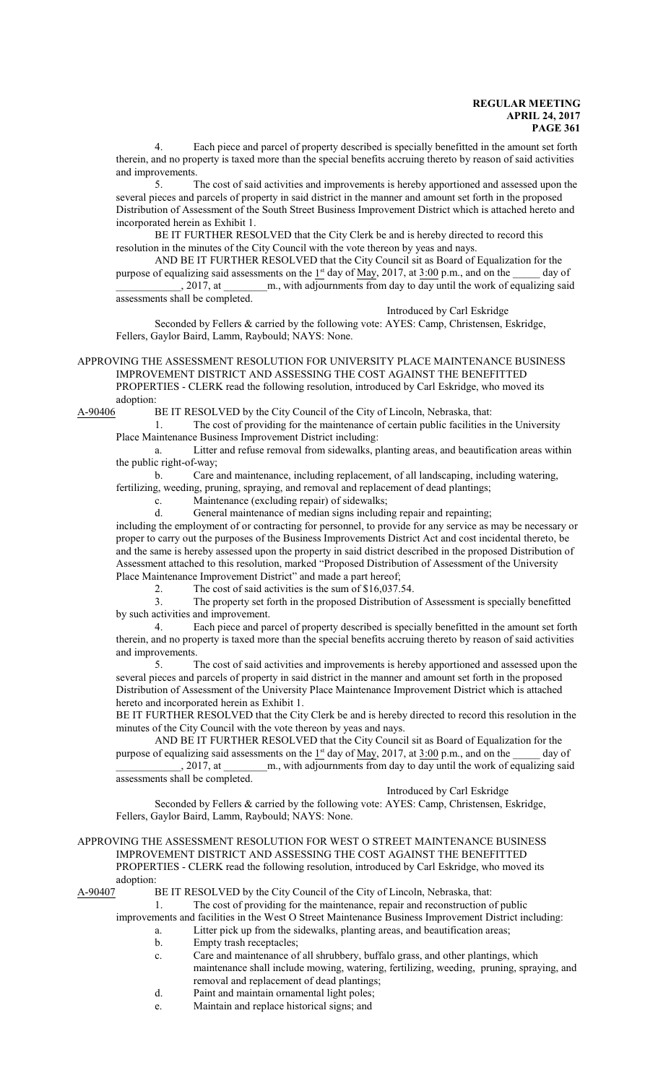4. Each piece and parcel of property described is specially benefitted in the amount set forth therein, and no property is taxed more than the special benefits accruing thereto by reason of said activities and improvements.

5. The cost of said activities and improvements is hereby apportioned and assessed upon the several pieces and parcels of property in said district in the manner and amount set forth in the proposed Distribution of Assessment of the South Street Business Improvement District which is attached hereto and incorporated herein as Exhibit 1.

BE IT FURTHER RESOLVED that the City Clerk be and is hereby directed to record this resolution in the minutes of the City Council with the vote thereon by yeas and nays.

AND BE IT FURTHER RESOLVED that the City Council sit as Board of Equalization for the purpose of equalizing said assessments on the  $1<sup>st</sup>$  day of May, 2017, at 3:00 p.m., and on the \_\_\_\_\_ day of \_\_\_\_\_\_\_\_\_\_\_\_, 2017, at \_\_\_\_\_\_\_\_m., with adjournments from day to day until the work of equalizing said assessments shall be completed.

Introduced by Carl Eskridge

Seconded by Fellers & carried by the following vote: AYES: Camp, Christensen, Eskridge, Fellers, Gaylor Baird, Lamm, Raybould; NAYS: None.

APPROVING THE ASSESSMENT RESOLUTION FOR UNIVERSITY PLACE MAINTENANCE BUSINESS IMPROVEMENT DISTRICT AND ASSESSING THE COST AGAINST THE BENEFITTED PROPERTIES - CLERK read the following resolution, introduced by Carl Eskridge, who moved its adoption:

A-90406 BE IT RESOLVED by the City Council of the City of Lincoln, Nebraska, that:

1. The cost of providing for the maintenance of certain public facilities in the University Place Maintenance Business Improvement District including:

a. Litter and refuse removal from sidewalks, planting areas, and beautification areas within the public right-of-way;

b. Care and maintenance, including replacement, of all landscaping, including watering,

fertilizing, weeding, pruning, spraying, and removal and replacement of dead plantings;

c. Maintenance (excluding repair) of sidewalks;

d. General maintenance of median signs including repair and repainting;

including the employment of or contracting for personnel, to provide for any service as may be necessary or proper to carry out the purposes of the Business Improvements District Act and cost incidental thereto, be and the same is hereby assessed upon the property in said district described in the proposed Distribution of Assessment attached to this resolution, marked "Proposed Distribution of Assessment of the University Place Maintenance Improvement District" and made a part hereof;

2. The cost of said activities is the sum of \$16,037.54.

3. The property set forth in the proposed Distribution of Assessment is specially benefitted by such activities and improvement.

4. Each piece and parcel of property described is specially benefitted in the amount set forth therein, and no property is taxed more than the special benefits accruing thereto by reason of said activities and improvements.

5. The cost of said activities and improvements is hereby apportioned and assessed upon the several pieces and parcels of property in said district in the manner and amount set forth in the proposed Distribution of Assessment of the University Place Maintenance Improvement District which is attached hereto and incorporated herein as Exhibit 1.

BE IT FURTHER RESOLVED that the City Clerk be and is hereby directed to record this resolution in the minutes of the City Council with the vote thereon by yeas and nays.

AND BE IT FURTHER RESOLVED that the City Council sit as Board of Equalization for the purpose of equalizing said assessments on the  $1<sup>st</sup>$  day of May, 2017, at  $3:00$  p.m., and on the \_\_\_\_\_ day of \_\_\_\_\_\_\_\_\_\_\_\_, 2017, at \_\_\_\_\_\_\_\_m., with adjournments from day to day until the work of equalizing said assessments shall be completed.

Introduced by Carl Eskridge

Seconded by Fellers & carried by the following vote: AYES: Camp, Christensen, Eskridge, Fellers, Gaylor Baird, Lamm, Raybould; NAYS: None.

#### APPROVING THE ASSESSMENT RESOLUTION FOR WEST O STREET MAINTENANCE BUSINESS IMPROVEMENT DISTRICT AND ASSESSING THE COST AGAINST THE BENEFITTED PROPERTIES - CLERK read the following resolution, introduced by Carl Eskridge, who moved its adoption:

A-90407 BE IT RESOLVED by the City Council of the City of Lincoln, Nebraska, that:

1. The cost of providing for the maintenance, repair and reconstruction of public

improvements and facilities in the West O Street Maintenance Business Improvement District including:

- a. Litter pick up from the sidewalks, planting areas, and beautification areas;
- b. Empty trash receptacles;
- c. Care and maintenance of all shrubbery, buffalo grass, and other plantings, which maintenance shall include mowing, watering, fertilizing, weeding, pruning, spraying, and removal and replacement of dead plantings;

d. Paint and maintain ornamental light poles;

e. Maintain and replace historical signs; and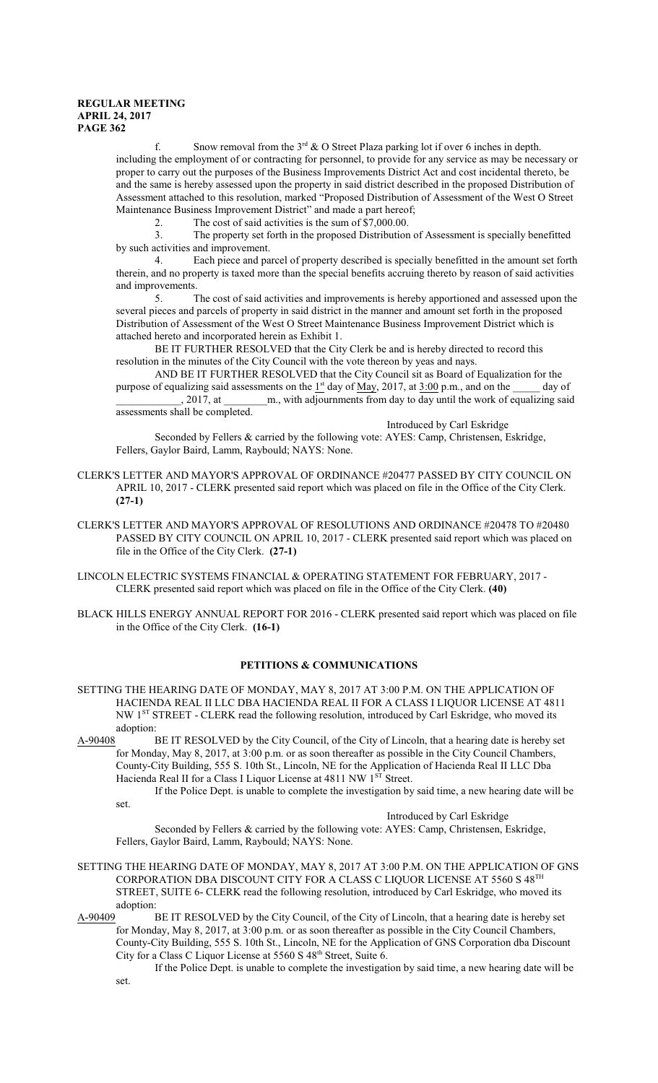f. Snow removal from the  $3^{rd}$  & O Street Plaza parking lot if over 6 inches in depth. including the employment of or contracting for personnel, to provide for any service as may be necessary or proper to carry out the purposes of the Business Improvements District Act and cost incidental thereto, be and the same is hereby assessed upon the property in said district described in the proposed Distribution of Assessment attached to this resolution, marked "Proposed Distribution of Assessment of the West O Street Maintenance Business Improvement District" and made a part hereof;

2. The cost of said activities is the sum of  $\hat{\$7,000.00}$ .<br>3. The property set forth in the proposed Distribution

The property set forth in the proposed Distribution of Assessment is specially benefitted by such activities and improvement.

4. Each piece and parcel of property described is specially benefitted in the amount set forth therein, and no property is taxed more than the special benefits accruing thereto by reason of said activities and improvements.

5. The cost of said activities and improvements is hereby apportioned and assessed upon the several pieces and parcels of property in said district in the manner and amount set forth in the proposed Distribution of Assessment of the West O Street Maintenance Business Improvement District which is attached hereto and incorporated herein as Exhibit 1.

BE IT FURTHER RESOLVED that the City Clerk be and is hereby directed to record this resolution in the minutes of the City Council with the vote thereon by yeas and nays.

AND BE IT FURTHER RESOLVED that the City Council sit as Board of Equalization for the purpose of equalizing said assessments on the  $1<sup>st</sup>$  day of May, 2017, at 3:00 p.m., and on the  $\qquad$  day of \_\_\_\_\_\_\_\_\_\_\_\_, 2017, at \_\_\_\_\_\_\_\_m., with adjournments from day to day until the work of equalizing said assessments shall be completed.

Introduced by Carl Eskridge Seconded by Fellers & carried by the following vote: AYES: Camp, Christensen, Eskridge, Fellers, Gaylor Baird, Lamm, Raybould; NAYS: None.

- CLERK'S LETTER AND MAYOR'S APPROVAL OF ORDINANCE #20477 PASSED BY CITY COUNCIL ON APRIL 10, 2017 - CLERK presented said report which was placed on file in the Office of the City Clerk. **(27-1)**
- CLERK'S LETTER AND MAYOR'S APPROVAL OF RESOLUTIONS AND ORDINANCE #20478 TO #20480 PASSED BY CITY COUNCIL ON APRIL 10, 2017 - CLERK presented said report which was placed on file in the Office of the City Clerk. **(27-1)**
- LINCOLN ELECTRIC SYSTEMS FINANCIAL & OPERATING STATEMENT FOR FEBRUARY, 2017 CLERK presented said report which was placed on file in the Office of the City Clerk. **(40)**
- BLACK HILLS ENERGY ANNUAL REPORT FOR 2016 CLERK presented said report which was placed on file in the Office of the City Clerk. **(16-1)**

#### **PETITIONS & COMMUNICATIONS**

- SETTING THE HEARING DATE OF MONDAY, MAY 8, 2017 AT 3:00 P.M. ON THE APPLICATION OF HACIENDA REAL II LLC DBA HACIENDA REAL II FOR A CLASS I LIQUOR LICENSE AT 4811 NW 1ST STREET - CLERK read the following resolution, introduced by Carl Eskridge, who moved its adoption:
- A-90408 BE IT RESOLVED by the City Council, of the City of Lincoln, that a hearing date is hereby set for Monday, May 8, 2017, at 3:00 p.m. or as soon thereafter as possible in the City Council Chambers, County-City Building, 555 S. 10th St., Lincoln, NE for the Application of Hacienda Real II LLC Dba Hacienda Real II for a Class I Liquor License at 4811 NW 1<sup>ST</sup> Street.

If the Police Dept. is unable to complete the investigation by said time, a new hearing date will be set.

Introduced by Carl Eskridge

Seconded by Fellers & carried by the following vote: AYES: Camp, Christensen, Eskridge, Fellers, Gaylor Baird, Lamm, Raybould; NAYS: None.

- SETTING THE HEARING DATE OF MONDAY, MAY 8, 2017 AT 3:00 P.M. ON THE APPLICATION OF GNS CORPORATION DBA DISCOUNT CITY FOR A CLASS C LIQUOR LICENSE AT 5560 S  $48^{\mathrm{TH}}$ STREET, SUITE 6- CLERK read the following resolution, introduced by Carl Eskridge, who moved its adoption:
- A-90409 BE IT RESOLVED by the City Council, of the City of Lincoln, that a hearing date is hereby set for Monday, May 8, 2017, at 3:00 p.m. or as soon thereafter as possible in the City Council Chambers, County-City Building, 555 S. 10th St., Lincoln, NE for the Application of GNS Corporation dba Discount City for a Class C Liquor License at 5560 S 48<sup>th</sup> Street, Suite 6.
	- If the Police Dept. is unable to complete the investigation by said time, a new hearing date will be set.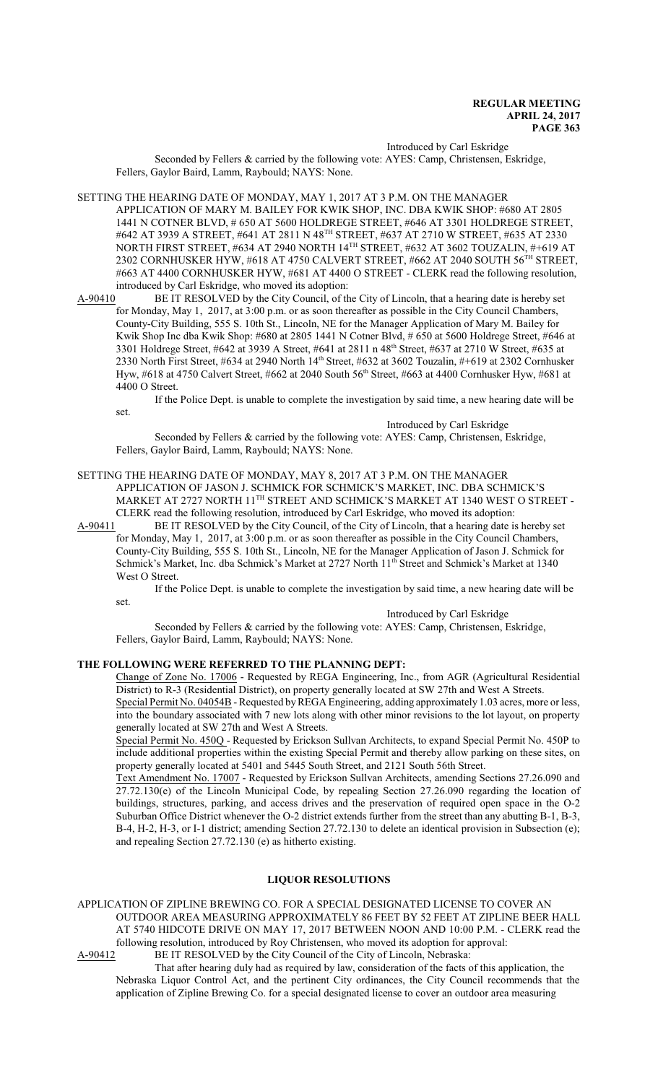Introduced by Carl Eskridge

Seconded by Fellers & carried by the following vote: AYES: Camp, Christensen, Eskridge, Fellers, Gaylor Baird, Lamm, Raybould; NAYS: None.

SETTING THE HEARING DATE OF MONDAY, MAY 1, 2017 AT 3 P.M. ON THE MANAGER APPLICATION OF MARY M. BAILEY FOR KWIK SHOP, INC. DBA KWIK SHOP: #680 AT 2805 1441 N COTNER BLVD, # 650 AT 5600 HOLDREGE STREET, #646 AT 3301 HOLDREGE STREET, #642 AT 3939 A STREET, #641 AT 2811 N 48 TH STREET, #637 AT 2710 W STREET, #635 AT 2330 NORTH FIRST STREET, #634 AT 2940 NORTH 14 TH STREET, #632 AT 3602 TOUZALIN, #+619 AT 2302 CORNHUSKER HYW, #618 AT 4750 CALVERT STREET, #662 AT 2040 SOUTH 56<sup>th</sup> STREET, #663 AT 4400 CORNHUSKER HYW, #681 AT 4400 O STREET - CLERK read the following resolution, introduced by Carl Eskridge, who moved its adoption:

A-90410 BE IT RESOLVED by the City Council, of the City of Lincoln, that a hearing date is hereby set for Monday, May 1, 2017, at 3:00 p.m. or as soon thereafter as possible in the City Council Chambers, County-City Building, 555 S. 10th St., Lincoln, NE for the Manager Application of Mary M. Bailey for Kwik Shop Inc dba Kwik Shop: #680 at 2805 1441 N Cotner Blvd, # 650 at 5600 Holdrege Street, #646 at 3301 Holdrege Street, #642 at 3939 A Street, #641 at 2811 n 48<sup>th</sup> Street, #637 at 2710 W Street, #635 at 2330 North First Street, #634 at 2940 North 14<sup>th</sup> Street, #632 at 3602 Touzalin, #+619 at 2302 Cornhusker Hyw, #618 at 4750 Calvert Street, #662 at 2040 South 56<sup>th</sup> Street, #663 at 4400 Cornhusker Hyw, #681 at 4400 O Street.

If the Police Dept. is unable to complete the investigation by said time, a new hearing date will be

Introduced by Carl Eskridge

Seconded by Fellers & carried by the following vote: AYES: Camp, Christensen, Eskridge, Fellers, Gaylor Baird, Lamm, Raybould; NAYS: None.

SETTING THE HEARING DATE OF MONDAY, MAY 8, 2017 AT 3 P.M. ON THE MANAGER APPLICATION OF JASON J. SCHMICK FOR SCHMICK'S MARKET, INC. DBA SCHMICK'S MARKET AT 2727 NORTH  $11^{\text{TH}}$  STREET AND SCHMICK'S MARKET AT 1340 WEST O STREET -CLERK read the following resolution, introduced by Carl Eskridge, who moved its adoption:

A-90411 BE IT RESOLVED by the City Council, of the City of Lincoln, that a hearing date is hereby set for Monday, May 1, 2017, at 3:00 p.m. or as soon thereafter as possible in the City Council Chambers, County-City Building, 555 S. 10th St., Lincoln, NE for the Manager Application of Jason J. Schmick for Schmick's Market, Inc. dba Schmick's Market at 2727 North 11<sup>th</sup> Street and Schmick's Market at 1340 West O Street.

If the Police Dept. is unable to complete the investigation by said time, a new hearing date will be set.

Introduced by Carl Eskridge

Seconded by Fellers & carried by the following vote: AYES: Camp, Christensen, Eskridge, Fellers, Gaylor Baird, Lamm, Raybould; NAYS: None.

## **THE FOLLOWING WERE REFERRED TO THE PLANNING DEPT:**

Change of Zone No. 17006 - Requested by REGA Engineering, Inc., from AGR (Agricultural Residential District) to R-3 (Residential District), on property generally located at SW 27th and West A Streets.

Special Permit No. 04054B -Requested byREGA Engineering, adding approximately 1.03 acres, more or less, into the boundary associated with 7 new lots along with other minor revisions to the lot layout, on property generally located at SW 27th and West A Streets.

Special Permit No. 450Q - Requested by Erickson Sullvan Architects, to expand Special Permit No. 450P to include additional properties within the existing Special Permit and thereby allow parking on these sites, on property generally located at 5401 and 5445 South Street, and 2121 South 56th Street.

Text Amendment No. 17007 - Requested by Erickson Sullvan Architects, amending Sections 27.26.090 and 27.72.130(e) of the Lincoln Municipal Code, by repealing Section 27.26.090 regarding the location of buildings, structures, parking, and access drives and the preservation of required open space in the O-2 Suburban Office District whenever the O-2 district extends further from the street than any abutting B-1, B-3, B-4, H-2, H-3, or I-1 district; amending Section 27.72.130 to delete an identical provision in Subsection (e); and repealing Section 27.72.130 (e) as hitherto existing.

### **LIQUOR RESOLUTIONS**

APPLICATION OF ZIPLINE BREWING CO. FOR A SPECIAL DESIGNATED LICENSE TO COVER AN OUTDOOR AREA MEASURING APPROXIMATELY 86 FEET BY 52 FEET AT ZIPLINE BEER HALL AT 5740 HIDCOTE DRIVE ON MAY 17, 2017 BETWEEN NOON AND 10:00 P.M. - CLERK read the following resolution, introduced by Roy Christensen, who moved its adoption for approval:<br>A-90412 BE IT RESOLVED by the City Council of the City of Lincoln, Nebraska: BE IT RESOLVED by the City Council of the City of Lincoln, Nebraska:

That after hearing duly had as required by law, consideration of the facts of this application, the Nebraska Liquor Control Act, and the pertinent City ordinances, the City Council recommends that the application of Zipline Brewing Co. for a special designated license to cover an outdoor area measuring

set.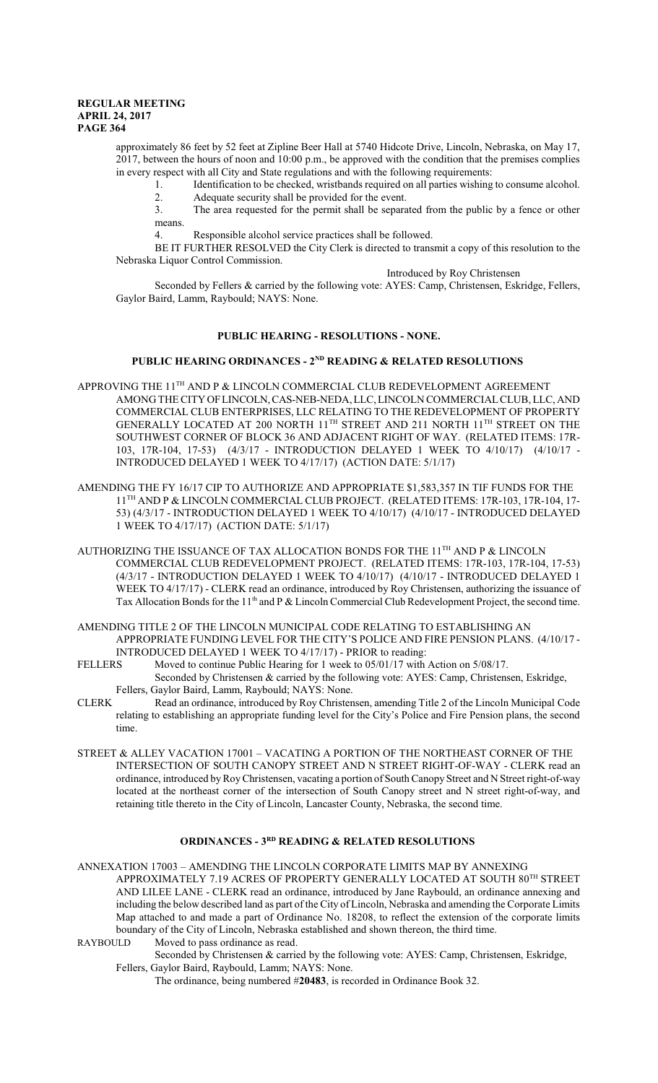approximately 86 feet by 52 feet at Zipline Beer Hall at 5740 Hidcote Drive, Lincoln, Nebraska, on May 17, 2017, between the hours of noon and 10:00 p.m., be approved with the condition that the premises complies in every respect with all City and State regulations and with the following requirements:

1. Identification to be checked, wristbands required on all parties wishing to consume alcohol.<br>Adequate security shall be provided for the event 2. Adequate security shall be provided for the event.<br>3. The area requested for the permit shall be separa

The area requested for the permit shall be separated from the public by a fence or other means.

4. Responsible alcohol service practices shall be followed.

BE IT FURTHER RESOLVED the City Clerk is directed to transmit a copy of this resolution to the Nebraska Liquor Control Commission.

#### Introduced by Roy Christensen

Seconded by Fellers & carried by the following vote: AYES: Camp, Christensen, Eskridge, Fellers, Gaylor Baird, Lamm, Raybould; NAYS: None.

## **PUBLIC HEARING - RESOLUTIONS - NONE.**

#### **PUBLIC HEARING ORDINANCES - 2ND READING & RELATED RESOLUTIONS**

- APPROVING THE  $11^{\text{TH}}$  AND P & LINCOLN COMMERCIAL CLUB REDEVELOPMENT AGREEMENT AMONG THE CITYOFLINCOLN,CAS-NEB-NEDA, LLC, LINCOLN COMMERCIALCLUB, LLC, AND COMMERCIAL CLUB ENTERPRISES, LLC RELATING TO THE REDEVELOPMENT OF PROPERTY GENERALLY LOCATED AT 200 NORTH  $11^{\text{TH}}$  STREET AND 211 NORTH  $11^{\text{TH}}$  STREET ON THE SOUTHWEST CORNER OF BLOCK 36 AND ADJACENT RIGHT OF WAY. (RELATED ITEMS: 17R-103, 17R-104, 17-53) (4/3/17 - INTRODUCTION DELAYED 1 WEEK TO 4/10/17) (4/10/17 - INTRODUCED DELAYED 1 WEEK TO 4/17/17) (ACTION DATE: 5/1/17)
- AMENDING THE FY 16/17 CIP TO AUTHORIZE AND APPROPRIATE \$1,583,357 IN TIF FUNDS FOR THE 11 TH AND P & LINCOLN COMMERCIAL CLUB PROJECT. (RELATED ITEMS: 17R-103, 17R-104, 17- 53) (4/3/17 - INTRODUCTION DELAYED 1 WEEK TO 4/10/17) (4/10/17 - INTRODUCED DELAYED 1 WEEK TO 4/17/17) (ACTION DATE: 5/1/17)
- AUTHORIZING THE ISSUANCE OF TAX ALLOCATION BONDS FOR THE 11<sup>th</sup> AND P & LINCOLN COMMERCIAL CLUB REDEVELOPMENT PROJECT. (RELATED ITEMS: 17R-103, 17R-104, 17-53) (4/3/17 - INTRODUCTION DELAYED 1 WEEK TO 4/10/17) (4/10/17 - INTRODUCED DELAYED 1 WEEK TO 4/17/17) - CLERK read an ordinance, introduced by Roy Christensen, authorizing the issuance of Tax Allocation Bonds for the 11<sup>th</sup> and P & Lincoln Commercial Club Redevelopment Project, the second time.
- AMENDING TITLE 2 OF THE LINCOLN MUNICIPAL CODE RELATING TO ESTABLISHING AN APPROPRIATE FUNDING LEVEL FOR THE CITY'S POLICE AND FIRE PENSION PLANS. (4/10/17 -
- INTRODUCED DELAYED 1 WEEK TO 4/17/17) PRIOR to reading:<br>FELLERS Moved to continue Public Hearing for 1 week to 05/01/17 with Moved to continue Public Hearing for 1 week to 05/01/17 with Action on 5/08/17. Seconded by Christensen & carried by the following vote: AYES: Camp, Christensen, Eskridge, Fellers, Gaylor Baird, Lamm, Raybould; NAYS: None.
- CLERK Read an ordinance, introduced by Roy Christensen, amending Title 2 of the Lincoln Municipal Code relating to establishing an appropriate funding level for the City's Police and Fire Pension plans, the second time.
- STREET & ALLEY VACATION 17001 VACATING A PORTION OF THE NORTHEAST CORNER OF THE INTERSECTION OF SOUTH CANOPY STREET AND N STREET RIGHT-OF-WAY - CLERK read an ordinance, introduced byRoyChristensen, vacating a portion of SouthCanopy Street and N Street right-of-way located at the northeast corner of the intersection of South Canopy street and N street right-of-way, and retaining title thereto in the City of Lincoln, Lancaster County, Nebraska, the second time.

## **ORDINANCES - 3RD READING & RELATED RESOLUTIONS**

ANNEXATION 17003 – AMENDING THE LINCOLN CORPORATE LIMITS MAP BY ANNEXING APPROXIMATELY 7.19 ACRES OF PROPERTY GENERALLY LOCATED AT SOUTH  $80^{\mathrm{TH}}$  STREET AND LILEE LANE - CLERK read an ordinance, introduced by Jane Raybould, an ordinance annexing and including the below described land as part of the City of Lincoln, Nebraska and amending the Corporate Limits Map attached to and made a part of Ordinance No. 18208, to reflect the extension of the corporate limits boundary of the City of Lincoln, Nebraska established and shown thereon, the third time.

RAYBOULD Moved to pass ordinance as read.

Seconded by Christensen & carried by the following vote: AYES: Camp, Christensen, Eskridge, Fellers, Gaylor Baird, Raybould, Lamm; NAYS: None.

The ordinance, being numbered #**20483**, is recorded in Ordinance Book 32.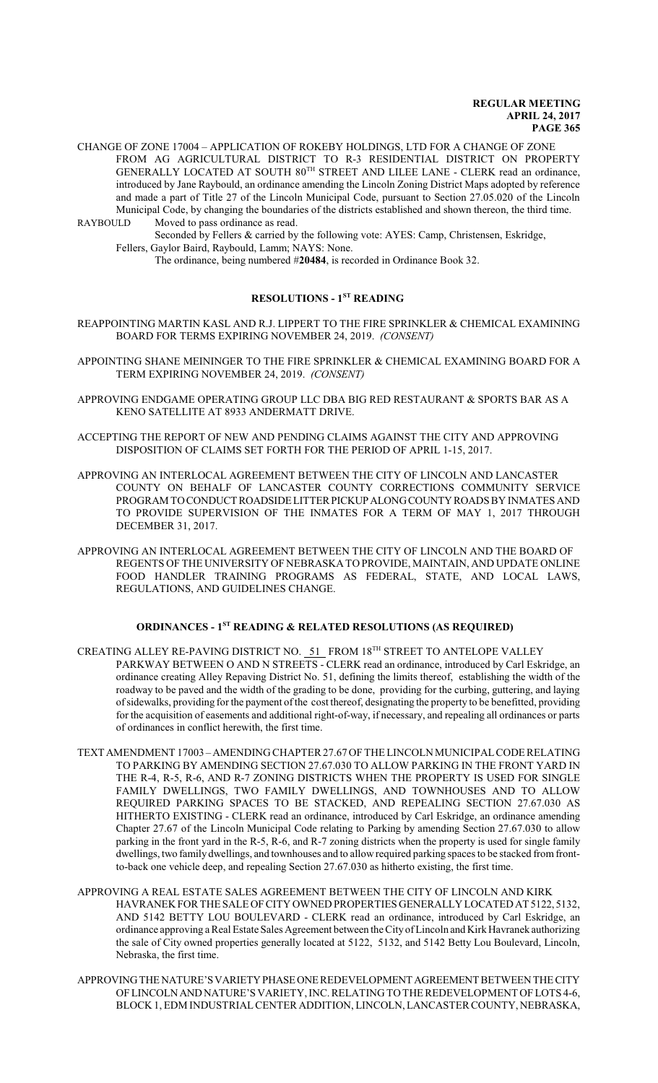- CHANGE OF ZONE 17004 APPLICATION OF ROKEBY HOLDINGS, LTD FOR A CHANGE OF ZONE FROM AG AGRICULTURAL DISTRICT TO R-3 RESIDENTIAL DISTRICT ON PROPERTY GENERALLY LOCATED AT SOUTH 80<sup>TH</sup> STREET AND LILEE LANE - CLERK read an ordinance, introduced by Jane Raybould, an ordinance amending the Lincoln Zoning District Maps adopted by reference and made a part of Title 27 of the Lincoln Municipal Code, pursuant to Section 27.05.020 of the Lincoln Municipal Code, by changing the boundaries of the districts established and shown thereon, the third time.<br>RAYBOULD Moved to pass ordinance as read Moved to pass ordinance as read.
	- Seconded by Fellers & carried by the following vote: AYES: Camp, Christensen, Eskridge, Fellers, Gaylor Baird, Raybould, Lamm; NAYS: None.
		- The ordinance, being numbered #**20484**, is recorded in Ordinance Book 32.

# **RESOLUTIONS - 1ST READING**

- REAPPOINTING MARTIN KASL AND R.J. LIPPERT TO THE FIRE SPRINKLER & CHEMICAL EXAMINING BOARD FOR TERMS EXPIRING NOVEMBER 24, 2019. *(CONSENT)*
- APPOINTING SHANE MEININGER TO THE FIRE SPRINKLER & CHEMICAL EXAMINING BOARD FOR A TERM EXPIRING NOVEMBER 24, 2019. *(CONSENT)*
- APPROVING ENDGAME OPERATING GROUP LLC DBA BIG RED RESTAURANT & SPORTS BAR AS A KENO SATELLITE AT 8933 ANDERMATT DRIVE.
- ACCEPTING THE REPORT OF NEW AND PENDING CLAIMS AGAINST THE CITY AND APPROVING DISPOSITION OF CLAIMS SET FORTH FOR THE PERIOD OF APRIL 1-15, 2017.
- APPROVING AN INTERLOCAL AGREEMENT BETWEEN THE CITY OF LINCOLN AND LANCASTER COUNTY ON BEHALF OF LANCASTER COUNTY CORRECTIONS COMMUNITY SERVICE PROGRAM TOCONDUCT ROADSIDELITTERPICKUPALONGCOUNTYROADS BY INMATES AND TO PROVIDE SUPERVISION OF THE INMATES FOR A TERM OF MAY 1, 2017 THROUGH DECEMBER 31, 2017.
- APPROVING AN INTERLOCAL AGREEMENT BETWEEN THE CITY OF LINCOLN AND THE BOARD OF REGENTS OF THE UNIVERSITY OF NEBRASKA TO PROVIDE, MAINTAIN, AND UPDATE ONLINE FOOD HANDLER TRAINING PROGRAMS AS FEDERAL, STATE, AND LOCAL LAWS, REGULATIONS, AND GUIDELINES CHANGE.

# **ORDINANCES - 1ST READING & RELATED RESOLUTIONS (AS REQUIRED)**

- CREATING ALLEY RE-PAVING DISTRICT NO. 51 FROM 18<sup>TH</sup> STREET TO ANTELOPE VALLEY PARKWAY BETWEEN O AND N STREETS - CLERK read an ordinance, introduced by Carl Eskridge, an ordinance creating Alley Repaving District No. 51, defining the limits thereof, establishing the width of the roadway to be paved and the width of the grading to be done, providing for the curbing, guttering, and laying ofsidewalks, providing for the payment ofthe cost thereof, designating the property to be benefitted, providing for the acquisition of easements and additional right-of-way, if necessary, and repealing all ordinances or parts of ordinances in conflict herewith, the first time.
- TEXT AMENDMENT 17003 AMENDING CHAPTER 27.67 OF THE LINCOLN MUNICIPALCODE RELATING TO PARKING BY AMENDING SECTION 27.67.030 TO ALLOW PARKING IN THE FRONT YARD IN THE R-4, R-5, R-6, AND R-7 ZONING DISTRICTS WHEN THE PROPERTY IS USED FOR SINGLE FAMILY DWELLINGS, TWO FAMILY DWELLINGS, AND TOWNHOUSES AND TO ALLOW REQUIRED PARKING SPACES TO BE STACKED, AND REPEALING SECTION 27.67.030 AS HITHERTO EXISTING - CLERK read an ordinance, introduced by Carl Eskridge, an ordinance amending Chapter 27.67 of the Lincoln Municipal Code relating to Parking by amending Section 27.67.030 to allow parking in the front yard in the R-5, R-6, and R-7 zoning districts when the property is used for single family dwellings, two family dwellings, and townhouses and to allow required parking spaces to be stacked from frontto-back one vehicle deep, and repealing Section 27.67.030 as hitherto existing, the first time.
- APPROVING A REAL ESTATE SALES AGREEMENT BETWEEN THE CITY OF LINCOLN AND KIRK HAVRANEK FOR THE SALE OF CITY OWNED PROPERTIES GENERALLY LOCATEDAT 5122, 5132, AND 5142 BETTY LOU BOULEVARD - CLERK read an ordinance, introduced by Carl Eskridge, an ordinance approving a Real Estate Sales Agreement between the CityofLincoln and KirkHavranek authorizing the sale of City owned properties generally located at 5122, 5132, and 5142 Betty Lou Boulevard, Lincoln, Nebraska, the first time.
- APPROVINGTHENATURE'SVARIETYPHASEONEREDEVELOPMENT AGREEMENT BETWEENTHECITY OF LINCOLNANDNATURE'S VARIETY, INC. RELATING TO THE REDEVELOPMENT OF LOTS 4-6, BLOCK 1, EDM INDUSTRIALCENTER ADDITION, LINCOLN, LANCASTER COUNTY, NEBRASKA,